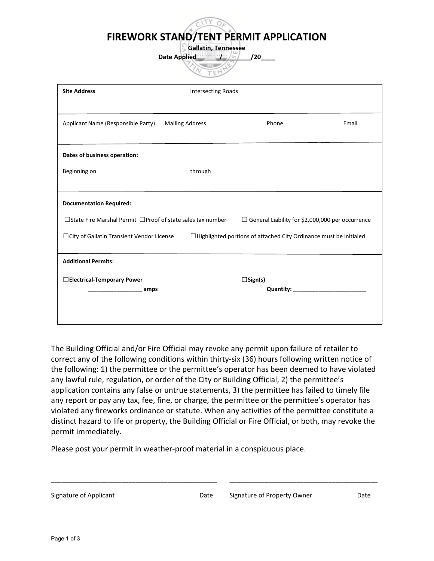**FIREWORK STAND/TENT PERMIT APPLICATION**

**Gallatin, Tennessee Date Applied Little / 20** 

| <b>Site Address</b>                                                                                                                | <b>Intersecting Roads</b> |                                                                          |       |  |
|------------------------------------------------------------------------------------------------------------------------------------|---------------------------|--------------------------------------------------------------------------|-------|--|
|                                                                                                                                    |                           |                                                                          |       |  |
|                                                                                                                                    |                           |                                                                          |       |  |
| Applicant Name (Responsible Party)                                                                                                 | <b>Mailing Address</b>    | Phone                                                                    | Email |  |
|                                                                                                                                    |                           |                                                                          |       |  |
| Dates of business operation:                                                                                                       |                           |                                                                          |       |  |
| Beginning on                                                                                                                       | through                   |                                                                          |       |  |
|                                                                                                                                    |                           |                                                                          |       |  |
|                                                                                                                                    |                           |                                                                          |       |  |
| <b>Documentation Required:</b>                                                                                                     |                           |                                                                          |       |  |
| $\Box$ State Fire Marshal Permit $\Box$ Proof of state sales tax number<br>$\Box$ General Liability for \$2,000,000 per occurrence |                           |                                                                          |       |  |
| □ City of Gallatin Transient Vendor License                                                                                        |                           | $\Box$ Highlighted portions of attached City Ordinance must be initialed |       |  |
|                                                                                                                                    |                           |                                                                          |       |  |
| <b>Additional Permits:</b>                                                                                                         |                           |                                                                          |       |  |
|                                                                                                                                    |                           |                                                                          |       |  |
| □Electrical-Temporary Power                                                                                                        |                           | $\square$ Sign(s)                                                        |       |  |
| amps                                                                                                                               |                           | <b>Quantity:</b>                                                         |       |  |
|                                                                                                                                    |                           |                                                                          |       |  |
|                                                                                                                                    |                           |                                                                          |       |  |

The Building Official and/or Fire Official may revoke any permit upon failure of retailer to correct any of the following conditions within thirty-six (36) hours following written notice of the following: 1) the permittee or the permittee's operator has been deemed to have violated any lawful rule, regulation, or order of the City or Building Official, 2) the permittee's application contains any false or untrue statements, 3) the permittee has failed to timely file any report or pay any tax, fee, fine, or charge, the permittee or the permittee's operator has violated any fireworks ordinance or statute. When any activities of the permittee constitute a distinct hazard to life or property, the Building Official or Fire Official, or both, may revoke the permit immediately.

\_\_\_\_\_\_\_\_\_\_\_\_\_\_\_\_\_\_\_\_\_\_\_\_\_\_\_\_\_\_\_\_\_\_\_\_\_\_\_\_\_\_\_\_\_\_\_ \_\_\_\_\_\_\_\_\_\_\_\_\_\_\_\_\_\_\_\_\_\_\_\_\_\_\_\_\_\_\_\_\_\_\_\_\_\_\_\_\_\_

Please post your permit in weather-proof material in a conspicuous place.

| Signature of Applicant |  |
|------------------------|--|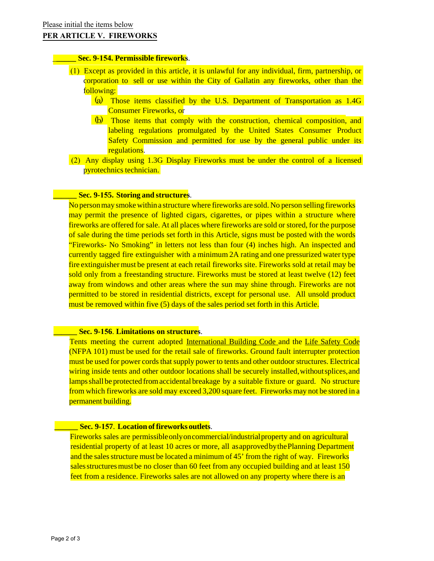## **PER ARTICLE V. FIREWORKS**

# \_**\_\_\_\_\_ Sec. 9-154. Permissible fireworks**.

- (1) Except as provided in this article, it is unlawful for any individual, firm, partnership, or corporation to sell or use within the City of Gallatin any fireworks, other than the following:
	- (a) Those items classified by the U.S. Department of Transportation as 1.4G Consumer Fireworks, or
	- (b) Those items that comply with the construction, chemical composition, and labeling regulations promulgated by the United States Consumer Product Safety Commission and permitted for use by the general public under its regulations.
- (2) Any display using 1.3G Display Fireworks must be under the control of a licensed pyrotechnics technician.

## **\_\_\_\_\_\_ Sec. 9-155. Storing and structures**.

No person may smoke within a structure where fireworks are sold. No person selling fireworks may permit the presence of lighted cigars, cigarettes, or pipes within a structure where fireworks are offered for sale. At all places where fireworks are sold or stored, for the purpose of sale during the time periods set forth in this Article, signs must be posted with the words "Fireworks- No Smoking" in letters not less than four (4) inches high. An inspected and currently tagged fire extinguisher with a minimum 2A rating and one pressurized water type fire extinguisher must be present at each retail fireworks site. Fireworks sold at retail may be sold only from a freestanding structure. Fireworks must be stored at least twelve (12) feet away from windows and other areas where the sun may shine through. Fireworks are not permitted to be stored in residential districts, except for personal use. All unsold product must be removed within five (5) days of the sales period set forth in this Article.

## **\_\_\_\_\_\_ Sec. 9-156**. **Limitations on structures**.

Tents meeting the current adopted International Building Code and the Life Safety Code (NFPA 101) must be used for the retail sale of fireworks. Ground fault interrupter protection must be used for power cords that supply power to tents and other outdoor structures. Electrical wiring inside tents and other outdoor locations shall be securely installed, without splices, and lamps shall be protected from accidental breakage by a suitable fixture or guard. No structure from which fireworks are sold may exceed 3,200 square feet. Fireworks may not be stored in a permanent building.

# **EXEC. 9-157. Location of fireworks outlets**.

Fireworks sales are permissibleonly on commercial/industrial property and on agricultural residential property of at least 10 acres or more, all as approved by the Planning Department and the sales structure must be located a minimum of 45' from the right of way. Fireworks sales structures must be no closer than 60 feet from any occupied building and at least 150 feet from a residence. Fireworks sales are not allowed on any property where there is an